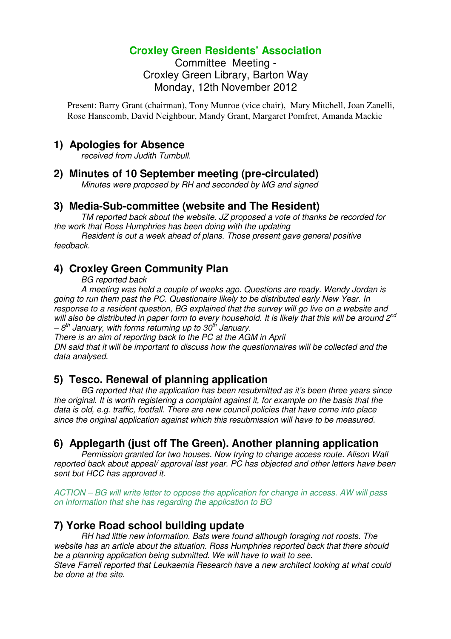# **Croxley Green Residents' Association**

Committee Meeting - Croxley Green Library, Barton Way Monday, 12th November 2012

Present: Barry Grant (chairman), Tony Munroe (vice chair), Mary Mitchell, Joan Zanelli, Rose Hanscomb, David Neighbour, Mandy Grant, Margaret Pomfret, Amanda Mackie

#### **1) Apologies for Absence**

received from Judith Turnbull.

#### **2) Minutes of 10 September meeting (pre-circulated)**

Minutes were proposed by RH and seconded by MG and signed

#### **3) Media-Sub-committee (website and The Resident)**

TM reported back about the website. JZ proposed a vote of thanks be recorded for the work that Ross Humphries has been doing with the updating

 Resident is out a week ahead of plans. Those present gave general positive feedback.

## **4) Croxley Green Community Plan**

BG reported back

 A meeting was held a couple of weeks ago. Questions are ready. Wendy Jordan is going to run them past the PC. Questionaire likely to be distributed early New Year. In response to a resident question, BG explained that the survey will go live on a website and will also be distributed in paper form to every household. It is likely that this will be around  $2^{nd}$  $-8<sup>th</sup>$  January, with forms returning up to 30<sup>th</sup> January.

There is an aim of reporting back to the PC at the AGM in April

DN said that it will be important to discuss how the questionnaires will be collected and the data analysed.

## **5) Tesco. Renewal of planning application**

BG reported that the application has been resubmitted as it's been three years since the original. It is worth registering a complaint against it, for example on the basis that the data is old, e.g. traffic, footfall. There are new council policies that have come into place since the original application against which this resubmission will have to be measured.

## **6) Applegarth (just off The Green). Another planning application**

Permission granted for two houses. Now trying to change access route. Alison Wall reported back about appeal/ approval last year. PC has objected and other letters have been sent but HCC has approved it.

ACTION – BG will write letter to oppose the application for change in access. AW will pass on information that she has regarding the application to BG

# **7) Yorke Road school building update**

RH had little new information. Bats were found although foraging not roosts. The website has an article about the situation. Ross Humphries reported back that there should be a planning application being submitted. We will have to wait to see.

Steve Farrell reported that Leukaemia Research have a new architect looking at what could be done at the site.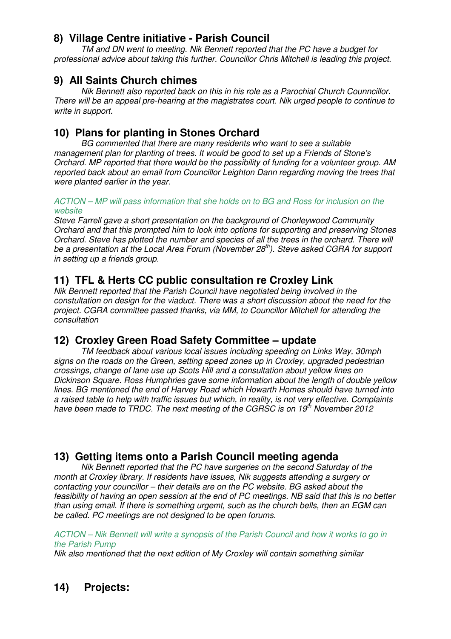# **8) Village Centre initiative - Parish Council**

TM and DN went to meeting. Nik Bennett reported that the PC have a budget for professional advice about taking this further. Councillor Chris Mitchell is leading this project.

#### **9) All Saints Church chimes**

Nik Bennett also reported back on this in his role as a Parochial Church Counncillor. There will be an appeal pre-hearing at the magistrates court. Nik urged people to continue to write in support.

## **10) Plans for planting in Stones Orchard**

BG commented that there are many residents who want to see a suitable management plan for planting of trees. It would be good to set up a Friends of Stone's Orchard. MP reported that there would be the possibility of funding for a volunteer group. AM reported back about an email from Councillor Leighton Dann regarding moving the trees that were planted earlier in the year.

#### ACTION – MP will pass information that she holds on to BG and Ross for inclusion on the website

Steve Farrell gave a short presentation on the background of Chorleywood Community Orchard and that this prompted him to look into options for supporting and preserving Stones Orchard. Steve has plotted the number and species of all the trees in the orchard. There will be a presentation at the Local Area Forum (November  $28<sup>th</sup>$ ). Steve asked CGRA for support in setting up a friends group.

## **11) TFL & Herts CC public consultation re Croxley Link**

Nik Bennett reported that the Parish Council have negotiated being involved in the constultation on design for the viaduct. There was a short discussion about the need for the project. CGRA committee passed thanks, via MM, to Councillor Mitchell for attending the consultation

# **12) Croxley Green Road Safety Committee – update**

TM feedback about various local issues including speeding on Links Way, 30mph signs on the roads on the Green, setting speed zones up in Croxley, upgraded pedestrian crossings, change of lane use up Scots Hill and a consultation about yellow lines on Dickinson Square. Ross Humphries gave some information about the length of double yellow lines. BG mentioned the end of Harvey Road which Howarth Homes should have turned into a raised table to help with traffic issues but which, in reality, is not very effective. Complaints have been made to TRDC. The next meeting of the CGRSC is on  $19<sup>th</sup>$  November 2012

# **13) Getting items onto a Parish Council meeting agenda**

Nik Bennett reported that the PC have surgeries on the second Saturday of the month at Croxley library. If residents have issues, Nik suggests attending a surgery or contacting your councillor – their details are on the PC website. BG asked about the feasibility of having an open session at the end of PC meetings. NB said that this is no better than using email. If there is something urgemt, such as the church bells, then an EGM can be called. PC meetings are not designed to be open forums.

ACTION – Nik Bennett will write a synopsis of the Parish Council and how it works to go in the Parish Pump

Nik also mentioned that the next edition of My Croxley will contain something similar

# **14) Projects:**